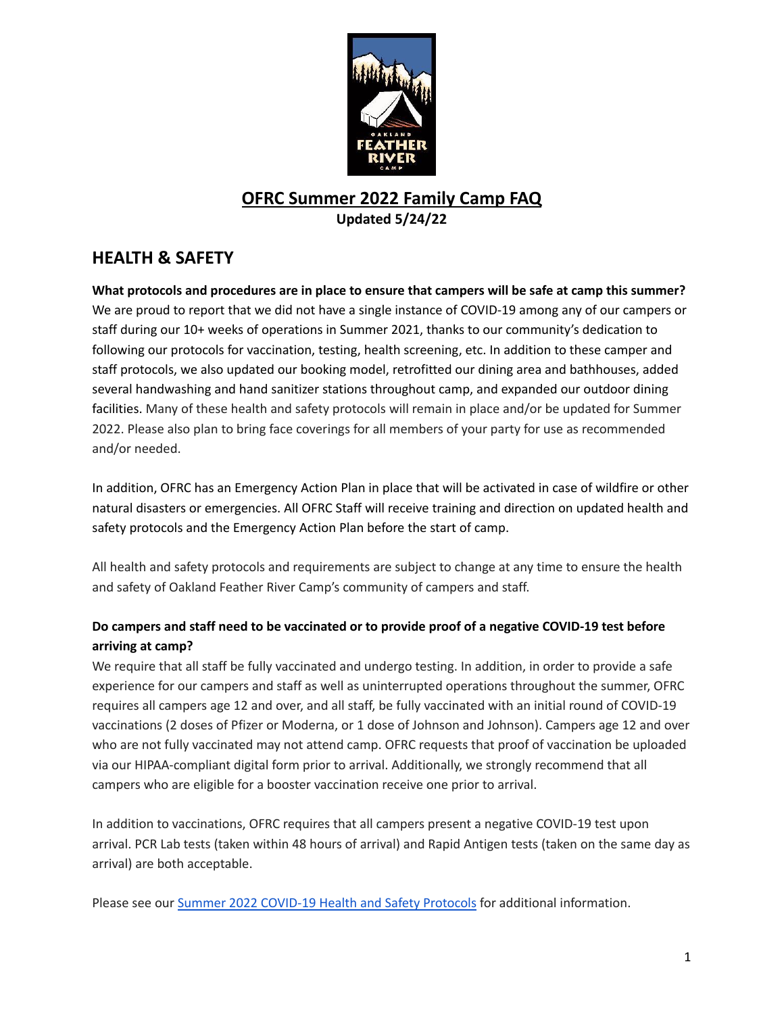

## **OFRC Summer 2022 Family Camp FAQ Updated 5/24/22**

# **HEALTH & SAFETY**

What protocols and procedures are in place to ensure that campers will be safe at camp this summer? We are proud to report that we did not have a single instance of COVID-19 among any of our campers or staff during our 10+ weeks of operations in Summer 2021, thanks to our community's dedication to following our protocols for vaccination, testing, health screening, etc. In addition to these camper and staff protocols, we also updated our booking model, retrofitted our dining area and bathhouses, added several handwashing and hand sanitizer stations throughout camp, and expanded our outdoor dining facilities. Many of these health and safety protocols will remain in place and/or be updated for Summer 2022. Please also plan to bring face coverings for all members of your party for use as recommended and/or needed.

In addition, OFRC has an Emergency Action Plan in place that will be activated in case of wildfire or other natural disasters or emergencies. All OFRC Staff will receive training and direction on updated health and safety protocols and the Emergency Action Plan before the start of camp.

All health and safety protocols and requirements are subject to change at any time to ensure the health and safety of Oakland Feather River Camp's community of campers and staff.

## **Do campers and staff need to be vaccinated or to provide proof of a negative COVID-19 test before arriving at camp?**

We require that all staff be fully vaccinated and undergo testing. In addition, in order to provide a safe experience for our campers and staff as well as uninterrupted operations throughout the summer, OFRC requires all campers age 12 and over, and all staff, be fully vaccinated with an initial round of COVID-19 vaccinations (2 doses of Pfizer or Moderna, or 1 dose of Johnson and Johnson). Campers age 12 and over who are not fully vaccinated may not attend camp. OFRC requests that proof of vaccination be uploaded via our HIPAA-compliant digital form prior to arrival. Additionally, we strongly recommend that all campers who are eligible for a booster vaccination receive one prior to arrival.

In addition to vaccinations, OFRC requires that all campers present a negative COVID-19 test upon arrival. PCR Lab tests (taken within 48 hours of arrival) and Rapid Antigen tests (taken on the same day as arrival) are both acceptable.

Please see our Summer 2022 [COVID-19](https://featherrivercamp.com/wp-content/uploads/2022/05/OFRC-2022-COVID-19-Health-and-Safety-Protocols.pdf) Health and Safety Protocols for additional information.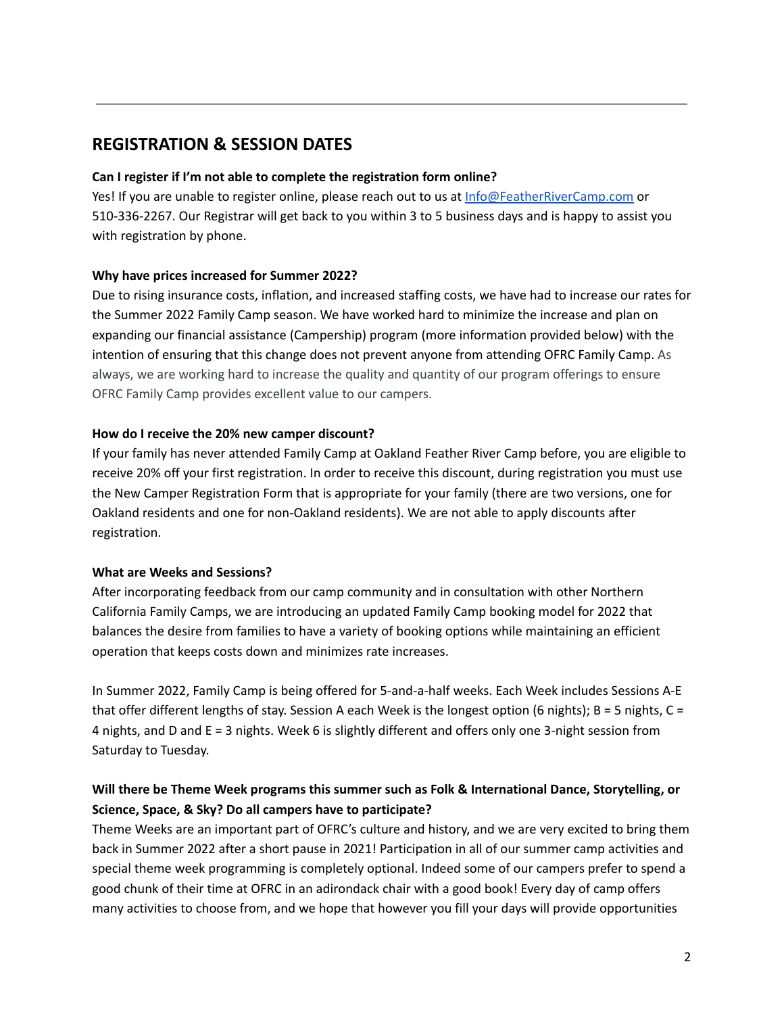## **REGISTRATION & SESSION DATES**

#### **Can I register if I'm not able to complete the registration form online?**

Yes! If you are unable to register online, please reach out to us at [Info@FeatherRiverCamp.com](mailto:Info@FeatherRiverCamp.com) or 510-336-2267. Our Registrar will get back to you within 3 to 5 business days and is happy to assist you with registration by phone.

#### **Why have prices increased for Summer 2022?**

Due to rising insurance costs, inflation, and increased staffing costs, we have had to increase our rates for the Summer 2022 Family Camp season. We have worked hard to minimize the increase and plan on expanding our financial assistance (Campership) program (more information provided below) with the intention of ensuring that this change does not prevent anyone from attending OFRC Family Camp. As always, we are working hard to increase the quality and quantity of our program offerings to ensure OFRC Family Camp provides excellent value to our campers.

#### **How do I receive the 20% new camper discount?**

If your family has never attended Family Camp at Oakland Feather River Camp before, you are eligible to receive 20% off your first registration. In order to receive this discount, during registration you must use the New Camper Registration Form that is appropriate for your family (there are two versions, one for Oakland residents and one for non-Oakland residents). We are not able to apply discounts after registration.

#### **What are Weeks and Sessions?**

After incorporating feedback from our camp community and in consultation with other Northern California Family Camps, we are introducing an updated Family Camp booking model for 2022 that balances the desire from families to have a variety of booking options while maintaining an efficient operation that keeps costs down and minimizes rate increases.

In Summer 2022, Family Camp is being offered for 5-and-a-half weeks. Each Week includes Sessions A-E that offer different lengths of stay. Session A each Week is the longest option (6 nights);  $B = 5$  nights,  $C =$ 4 nights, and D and E = 3 nights. Week 6 is slightly different and offers only one 3-night session from Saturday to Tuesday.

## **Will there be Theme Week programs this summer such as Folk & International Dance, Storytelling, or Science, Space, & Sky? Do all campers have to participate?**

Theme Weeks are an important part of OFRC's culture and history, and we are very excited to bring them back in Summer 2022 after a short pause in 2021! Participation in all of our summer camp activities and special theme week programming is completely optional. Indeed some of our campers prefer to spend a good chunk of their time at OFRC in an adirondack chair with a good book! Every day of camp offers many activities to choose from, and we hope that however you fill your days will provide opportunities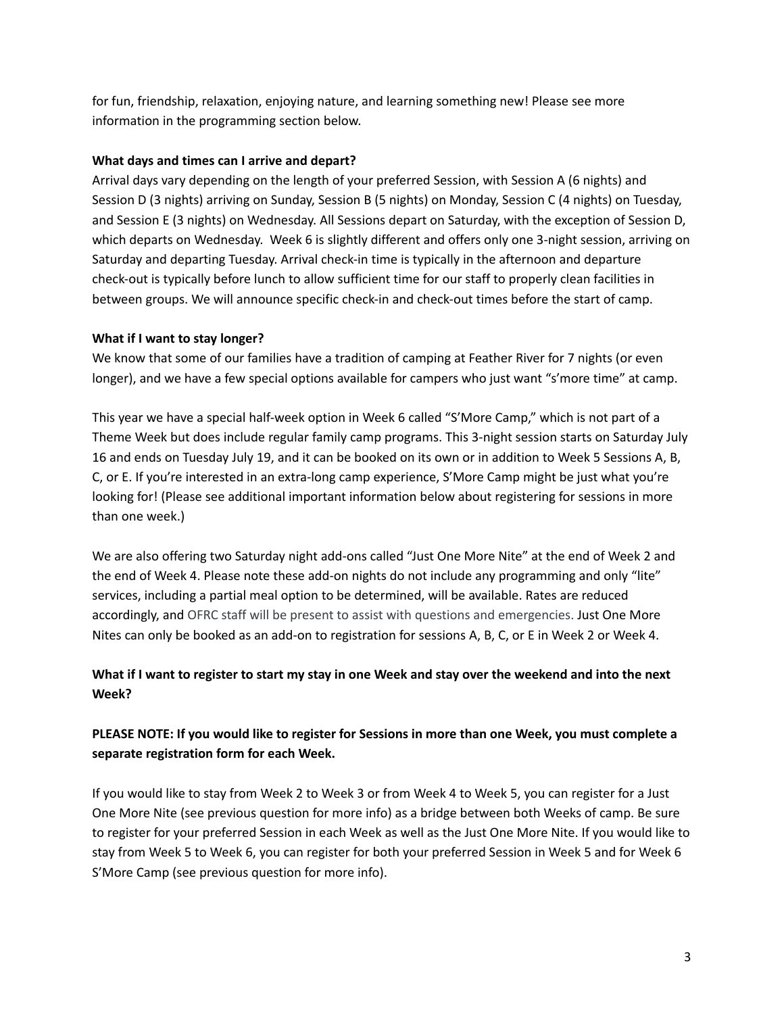for fun, friendship, relaxation, enjoying nature, and learning something new! Please see more information in the programming section below.

#### **What days and times can I arrive and depart?**

Arrival days vary depending on the length of your preferred Session, with Session A (6 nights) and Session D (3 nights) arriving on Sunday, Session B (5 nights) on Monday, Session C (4 nights) on Tuesday, and Session E (3 nights) on Wednesday. All Sessions depart on Saturday, with the exception of Session D, which departs on Wednesday. Week 6 is slightly different and offers only one 3-night session, arriving on Saturday and departing Tuesday. Arrival check-in time is typically in the afternoon and departure check-out is typically before lunch to allow sufficient time for our staff to properly clean facilities in between groups. We will announce specific check-in and check-out times before the start of camp.

#### **What if I want to stay longer?**

We know that some of our families have a tradition of camping at Feather River for 7 nights (or even longer), and we have a few special options available for campers who just want "s'more time" at camp.

This year we have a special half-week option in Week 6 called "S'More Camp," which is not part of a Theme Week but does include regular family camp programs. This 3-night session starts on Saturday July 16 and ends on Tuesday July 19, and it can be booked on its own or in addition to Week 5 Sessions A, B, C, or E. If you're interested in an extra-long camp experience, S'More Camp might be just what you're looking for! (Please see additional important information below about registering for sessions in more than one week.)

We are also offering two Saturday night add-ons called "Just One More Nite" at the end of Week 2 and the end of Week 4. Please note these add-on nights do not include any programming and only "lite" services, including a partial meal option to be determined, will be available. Rates are reduced accordingly, and OFRC staff will be present to assist with questions and emergencies. Just One More Nites can only be booked as an add-on to registration for sessions A, B, C, or E in Week 2 or Week 4.

## What if I want to register to start my stay in one Week and stay over the weekend and into the next **Week?**

## PLEASE NOTE: If you would like to register for Sessions in more than one Week, you must complete a **separate registration form for each Week.**

If you would like to stay from Week 2 to Week 3 or from Week 4 to Week 5, you can register for a Just One More Nite (see previous question for more info) as a bridge between both Weeks of camp. Be sure to register for your preferred Session in each Week as well as the Just One More Nite. If you would like to stay from Week 5 to Week 6, you can register for both your preferred Session in Week 5 and for Week 6 S'More Camp (see previous question for more info).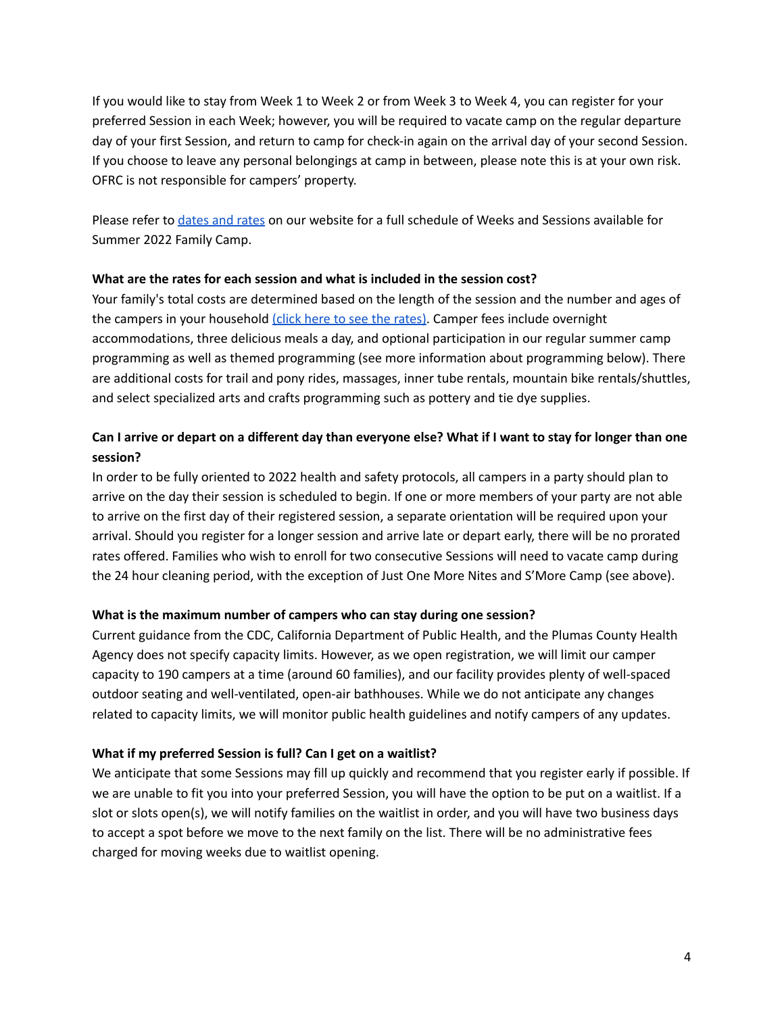If you would like to stay from Week 1 to Week 2 or from Week 3 to Week 4, you can register for your preferred Session in each Week; however, you will be required to vacate camp on the regular departure day of your first Session, and return to camp for check-in again on the arrival day of your second Session. If you choose to leave any personal belongings at camp in between, please note this is at your own risk. OFRC is not responsible for campers' property.

Please refer to [dates](https://featherrivercamp.com/summer-family-camp/rates-registration/) and rates on our website for a full schedule of Weeks and Sessions available for Summer 2022 Family Camp.

#### **What are the rates for each session and what is included in the session cost?**

Your family's total costs are determined based on the length of the session and the number and ages of the campers in your household (click here to see the [rates\)](https://featherrivercamp.com/summer-family-camp/rates-registration/). Camper fees include overnight accommodations, three delicious meals a day, and optional participation in our regular summer camp programming as well as themed programming (see more information about programming below). There are additional costs for trail and pony rides, massages, inner tube rentals, mountain bike rentals/shuttles, and select specialized arts and crafts programming such as pottery and tie dye supplies.

## Can I arrive or depart on a different day than everyone else? What if I want to stay for longer than one **session?**

In order to be fully oriented to 2022 health and safety protocols, all campers in a party should plan to arrive on the day their session is scheduled to begin. If one or more members of your party are not able to arrive on the first day of their registered session, a separate orientation will be required upon your arrival. Should you register for a longer session and arrive late or depart early, there will be no prorated rates offered. Families who wish to enroll for two consecutive Sessions will need to vacate camp during the 24 hour cleaning period, with the exception of Just One More Nites and S'More Camp (see above).

#### **What is the maximum number of campers who can stay during one session?**

Current guidance from the CDC, California Department of Public Health, and the Plumas County Health Agency does not specify capacity limits. However, as we open registration, we will limit our camper capacity to 190 campers at a time (around 60 families), and our facility provides plenty of well-spaced outdoor seating and well-ventilated, open-air bathhouses. While we do not anticipate any changes related to capacity limits, we will monitor public health guidelines and notify campers of any updates.

#### **What if my preferred Session is full? Can I get on a waitlist?**

We anticipate that some Sessions may fill up quickly and recommend that you register early if possible. If we are unable to fit you into your preferred Session, you will have the option to be put on a waitlist. If a slot or slots open(s), we will notify families on the waitlist in order, and you will have two business days to accept a spot before we move to the next family on the list. There will be no administrative fees charged for moving weeks due to waitlist opening.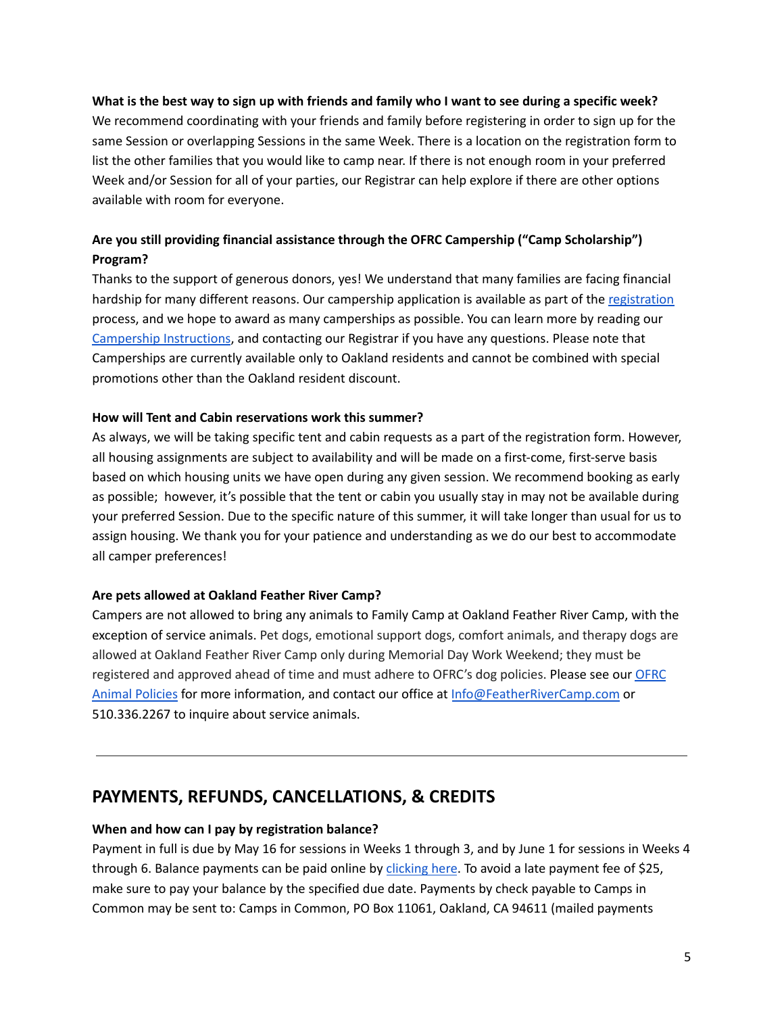#### What is the best way to sign up with friends and family who I want to see during a specific week?

We recommend coordinating with your friends and family before registering in order to sign up for the same Session or overlapping Sessions in the same Week. There is a location on the registration form to list the other families that you would like to camp near. If there is not enough room in your preferred Week and/or Session for all of your parties, our Registrar can help explore if there are other options available with room for everyone.

## **Are you still providing financial assistance through the OFRC Campership ("Camp Scholarship") Program?**

Thanks to the support of generous donors, yes! We understand that many families are facing financial hardship for many different reasons. Our campership application is available as part of the [registration](https://featherrivercamp.com/summer-family-camp/rates-registration/) process, and we hope to award as many camperships as possible. You can learn more by reading our [Campership](https://featherrivercamp.com/wp-content/uploads/2022/04/2022-Campership-Family-Camp-Application-Instructions-1.pdf) Instructions, and contacting our Registrar if you have any questions. Please note that Camperships are currently available only to Oakland residents and cannot be combined with special promotions other than the Oakland resident discount.

#### **How will Tent and Cabin reservations work this summer?**

As always, we will be taking specific tent and cabin requests as a part of the registration form. However, all housing assignments are subject to availability and will be made on a first-come, first-serve basis based on which housing units we have open during any given session. We recommend booking as early as possible; however, it's possible that the tent or cabin you usually stay in may not be available during your preferred Session. Due to the specific nature of this summer, it will take longer than usual for us to assign housing. We thank you for your patience and understanding as we do our best to accommodate all camper preferences!

#### **Are pets allowed at Oakland Feather River Camp?**

Campers are not allowed to bring any animals to Family Camp at Oakland Feather River Camp, with the exception of service animals. Pet dogs, emotional support dogs, comfort animals, and therapy dogs are allowed at Oakland Feather River Camp only during Memorial Day Work Weekend; they must be registered and approved ahead of time and must adhere to [OFRC](https://featherrivercamp.com/wp-content/uploads/2022/05/OFRC-Service-Animal-and-Dog-Policies.pdf)'s dog policies. Please see our OFRC Animal [Policies](https://featherrivercamp.com/wp-content/uploads/2022/05/OFRC-Service-Animal-and-Dog-Policies.pdf) for more information, and contact our office at [Info@FeatherRiverCamp.com](mailto:Info@FeatherRiverCamp.com) or 510.336.2267 to inquire about service animals.

## **PAYMENTS, REFUNDS, CANCELLATIONS, & CREDITS**

#### **When and how can I pay by registration balance?**

Payment in full is due by May 16 for sessions in Weeks 1 through 3, and by June 1 for sessions in Weeks 4 through 6. Balance payments can be paid online by [clicking](https://featherrivercamp.com/summer-family-camp/2022depositpayment/) here. To avoid a late payment fee of \$25, make sure to pay your balance by the specified due date. Payments by check payable to Camps in Common may be sent to: Camps in Common, PO Box 11061, Oakland, CA 94611 (mailed payments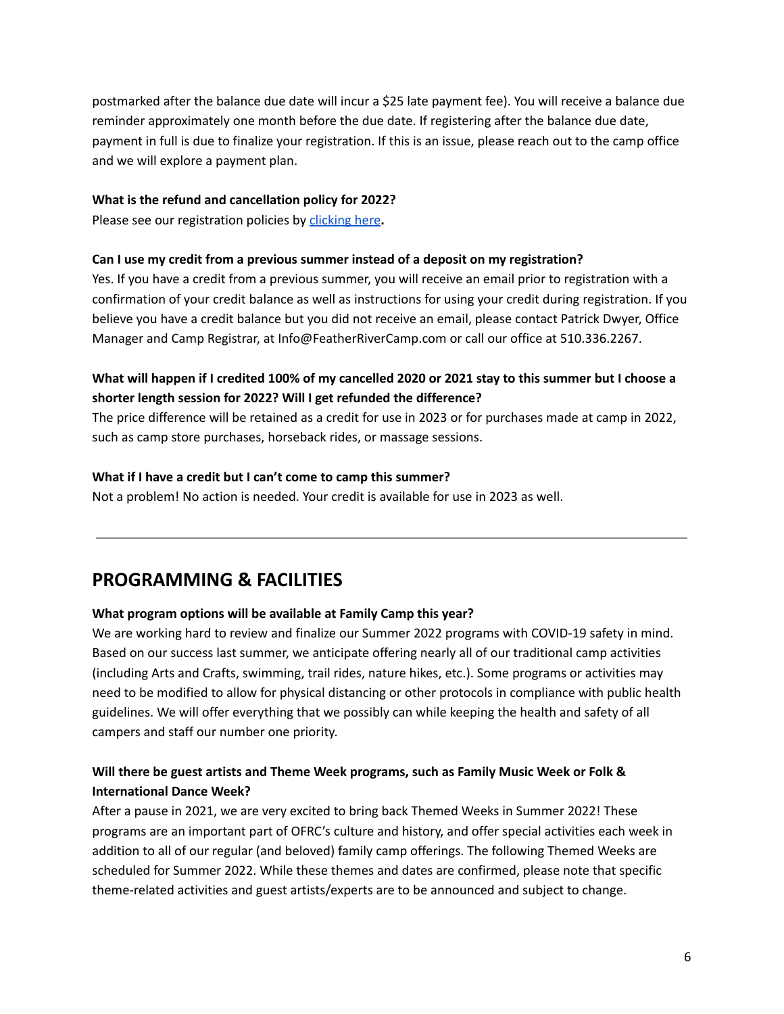postmarked after the balance due date will incur a \$25 late payment fee). You will receive a balance due reminder approximately one month before the due date. If registering after the balance due date, payment in full is due to finalize your registration. If this is an issue, please reach out to the camp office and we will explore a payment plan.

#### **What is the refund and cancellation policy for 2022?**

Please see our registration policies by [clicking](https://featherrivercamp.com/wp-content/uploads/2022/01/2022-OFRC-FC-Cancel-Change-Policies.pdf) here**.**

#### **Can I use my credit from a previous summer instead of a deposit on my registration?**

Yes. If you have a credit from a previous summer, you will receive an email prior to registration with a confirmation of your credit balance as well as instructions for using your credit during registration. If you believe you have a credit balance but you did not receive an email, please contact Patrick Dwyer, Office Manager and Camp Registrar, at Info@FeatherRiverCamp.com or call our office at 510.336.2267.

## What will happen if I credited 100% of my cancelled 2020 or 2021 stay to this summer but I choose a **shorter length session for 2022? Will I get refunded the difference?**

The price difference will be retained as a credit for use in 2023 or for purchases made at camp in 2022, such as camp store purchases, horseback rides, or massage sessions.

#### **What if I have a credit but I can't come to camp this summer?**

Not a problem! No action is needed. Your credit is available for use in 2023 as well.

# **PROGRAMMING & FACILITIES**

#### **What program options will be available at Family Camp this year?**

We are working hard to review and finalize our Summer 2022 programs with COVID-19 safety in mind. Based on our success last summer, we anticipate offering nearly all of our traditional camp activities (including Arts and Crafts, swimming, trail rides, nature hikes, etc.). Some programs or activities may need to be modified to allow for physical distancing or other protocols in compliance with public health guidelines. We will offer everything that we possibly can while keeping the health and safety of all campers and staff our number one priority.

## **Will there be guest artists and Theme Week programs, such as Family Music Week or Folk & International Dance Week?**

After a pause in 2021, we are very excited to bring back Themed Weeks in Summer 2022! These programs are an important part of OFRC's culture and history, and offer special activities each week in addition to all of our regular (and beloved) family camp offerings. The following Themed Weeks are scheduled for Summer 2022. While these themes and dates are confirmed, please note that specific theme-related activities and guest artists/experts are to be announced and subject to change.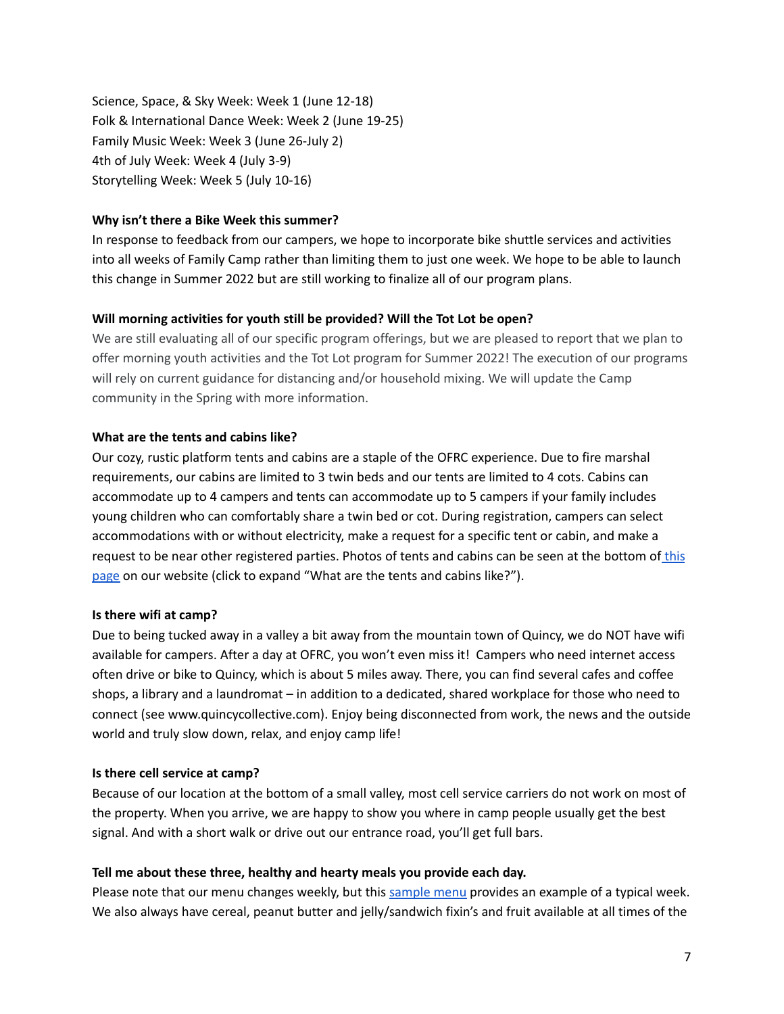Science, Space, & Sky Week: Week 1 (June 12-18) Folk & International Dance Week: Week 2 (June 19-25) Family Music Week: Week 3 (June 26-July 2) 4th of July Week: Week 4 (July 3-9) Storytelling Week: Week 5 (July 10-16)

#### **Why isn't there a Bike Week this summer?**

In response to feedback from our campers, we hope to incorporate bike shuttle services and activities into all weeks of Family Camp rather than limiting them to just one week. We hope to be able to launch this change in Summer 2022 but are still working to finalize all of our program plans.

#### **Will morning activities for youth still be provided? Will the Tot Lot be open?**

We are still evaluating all of our specific program offerings, but we are pleased to report that we plan to offer morning youth activities and the Tot Lot program for Summer 2022! The execution of our programs will rely on current guidance for distancing and/or household mixing. We will update the Camp community in the Spring with more information.

#### **What are the tents and [cabins](https://featherrivercamp.com/summer-family-camp/) like?**

Our cozy, rustic platform tents and cabins are a staple of the OFRC experience. Due to fire marshal requirements, our cabins are limited to 3 twin beds and our tents are limited to 4 cots. Cabins can accommodate up to 4 campers and tents can accommodate up to 5 campers if your family includes young children who can comfortably share a twin bed or cot. During registration, campers can select accommodations with or without electricity, make a request for a specific tent or cabin, and make a request to be near other registered parties. Photos of tents and cabins can be seen at the bottom of [this](https://featherrivercamp.com/summer-family-camp/) [page](https://featherrivercamp.com/summer-family-camp/) on our website (click to expand "What are the tents and cabins like?").

#### **Is there wifi at camp?**

Due to being tucked away in a valley a bit away from the mountain town of Quincy, we do NOT have wifi available for campers. After a day at OFRC, you won't even miss it! Campers who need internet access often drive or bike to Quincy, which is about 5 miles away. There, you can find several cafes and coffee shops, a library and a laundromat – in addition to a dedicated, shared workplace for those who need to connect (see www.quincycollective.com). Enjoy being disconnected from work, the news and the outside world and truly slow down, relax, and enjoy camp life!

#### **Is there cell service at camp?**

Because of our location at the bottom of a small valley, most cell service carriers do not work on most of the property. When you arrive, we are happy to show you where in camp people usually get the best signal. And with a short walk or drive out our entrance road, you'll get full bars.

#### **Tell me about these three, healthy and hearty meals you provide each day.**

Please note that our menu changes weekly, but this [sample](http://featherrivercamp.com/wp-content/uploads/2022/01/2022-Family-Camp-Sample-Menu.pdf) menu provides an example of a typical week. We also always have cereal, peanut butter and jelly/sandwich fixin's and fruit available at all times of the